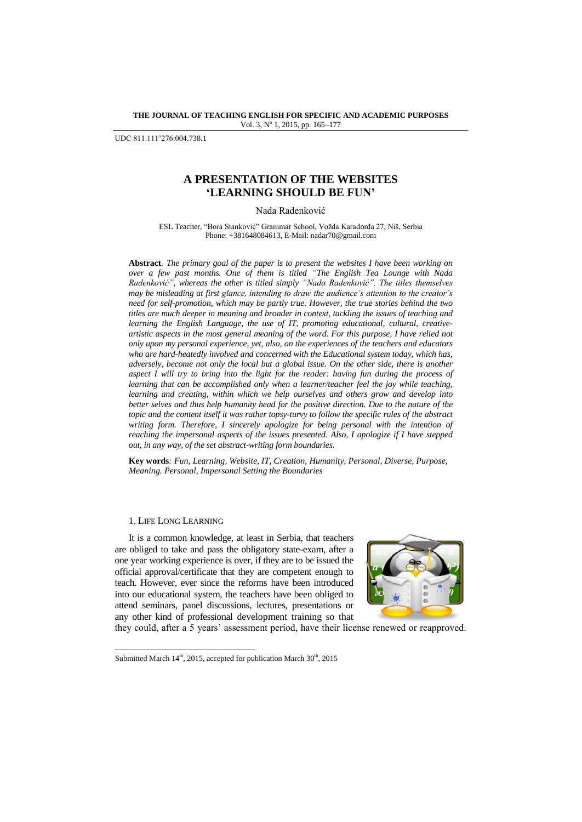**THE JOURNAL OF TEACHING ENGLISH FOR SPECIFIC AND ACADEMIC PURPOSES** Vol. 3, Nº 1, 2015, pp. 165-177

UDC 811.111'276:004.738.1

# **A PRESENTATION OF THE WEBSITES 'LEARNING SHOULD BE FUN'**

Nada Radenković

ESL Teacher, "Bora Stanković" Grammar School, Vožda Karađorđa 27, Niš, Serbia Phone: +381648084613, E-Mail: nadar70@gmail.com

**Abstract***. The primary goal of the paper is to present the websites I have been working on over a few past months. One of them is titled "The English Tea Lounge with Nada Radenković"*, *whereas the other is titled simply "Nada Radenković". The titles themselves may be misleading at first glance, intending to draw the audience's attention to the creator's need for self-promotion, which may be partly true. However, the true stories behind the two titles are much deeper in meaning and broader in context, tackling the issues of teaching and learning the English Language, the use of IT, promoting educational, cultural, creativeartistic aspects in the most general meaning of the word. For this purpose, I have relied not only upon my personal experience, yet, also, on the experiences of the teachers and educators who are hard-heatedly involved and concerned with the Educational system today, which has, adversely, become not only the local but a global issue. On the other side, there is another aspect I will try to bring into the light for the reader: having fun during the process of learning that can be accomplished only when a learner/teacher feel the joy while teaching, learning and creating, within which we help ourselves and others grow and develop into better selves and thus help humanity head for the positive direction. Due to the nature of the topic and the content itself it was rather topsy-turvy to follow the specific rules of the abstract writing form. Therefore, I sincerely apologize for being personal with the intention of reaching the impersonal aspects of the issues presented. Also, I apologize if I have stepped out, in any way, of the set abstract-writing form boundaries.*

**Key words***: Fun, Learning, Website, IT, Creation, Humanity, Personal, Diverse, Purpose, Meaning. Personal, Impersonal Setting the Boundaries*

### 1. LIFE LONG LEARNING

l

It is a common knowledge, at least in Serbia, that teachers are obliged to take and pass the obligatory state-exam, after a one year working experience is over, if they are to be issued the official approval/certificate that they are competent enough to teach. However, ever since the reforms have been introduced into our educational system, the teachers have been obliged to attend seminars, panel discussions, lectures, presentations or any other kind of professional development training so that



they could, after a 5 years' assessment period, have their license renewed or reapproved.

Submitted March  $14<sup>th</sup>$ , 2015, accepted for publication March  $30<sup>th</sup>$ , 2015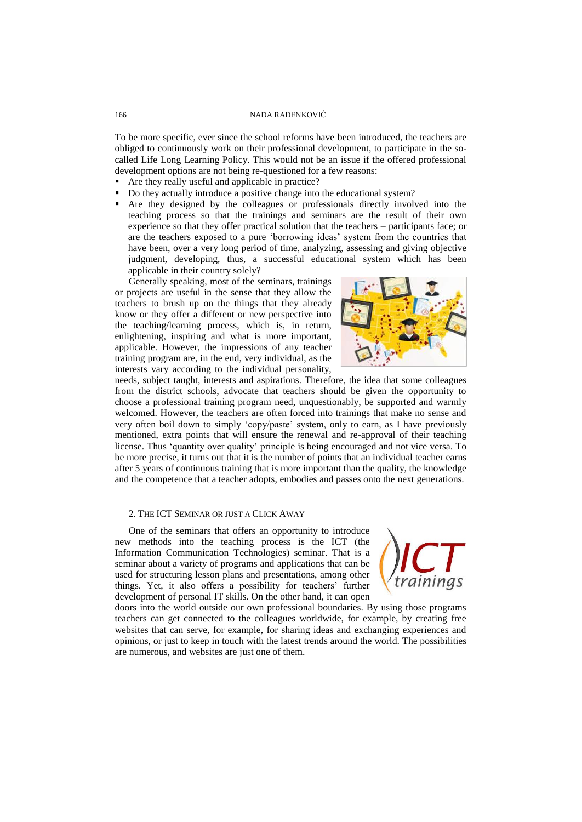To be more specific, ever since the school reforms have been introduced, the teachers are obliged to continuously work on their professional development, to participate in the socalled Life Long Learning Policy. This would not be an issue if the offered professional development options are not being re-questioned for a few reasons:

- Are they really useful and applicable in practice?
- Do they actually introduce a positive change into the educational system?
- Are they designed by the colleagues or professionals directly involved into the teaching process so that the trainings and seminars are the result of their own experience so that they offer practical solution that the teachers – participants face; or are the teachers exposed to a pure 'borrowing ideas' system from the countries that have been, over a very long period of time, analyzing, assessing and giving objective judgment, developing, thus, a successful educational system which has been applicable in their country solely?

Generally speaking, most of the seminars, trainings or projects are useful in the sense that they allow the teachers to brush up on the things that they already know or they offer a different or new perspective into the teaching/learning process, which is, in return, enlightening, inspiring and what is more important, applicable. However, the impressions of any teacher training program are, in the end, very individual, as the interests vary according to the individual personality,



needs, subject taught, interests and aspirations. Therefore, the idea that some colleagues from the district schools, advocate that teachers should be given the opportunity to choose a professional training program need, unquestionably, be supported and warmly welcomed. However, the teachers are often forced into trainings that make no sense and very often boil down to simply ‗copy/paste' system, only to earn, as I have previously mentioned, extra points that will ensure the renewal and re-approval of their teaching license. Thus ‗quantity over quality' principle is being encouraged and not vice versa. To be more precise, it turns out that it is the number of points that an individual teacher earns after 5 years of continuous training that is more important than the quality, the knowledge and the competence that a teacher adopts, embodies and passes onto the next generations.

### 2. THE ICT SEMINAR OR JUST A CLICK AWAY

One of the seminars that offers an opportunity to introduce new methods into the teaching process is the ICT (the Information Communication Technologies) seminar. That is a seminar about a variety of programs and applications that can be used for structuring lesson plans and presentations, among other things. Yet, it also offers a possibility for teachers' further development of personal IT skills. On the other hand, it can open



doors into the world outside our own professional boundaries. By using those programs teachers can get connected to the colleagues worldwide, for example, by creating free websites that can serve, for example, for sharing ideas and exchanging experiences and opinions, or just to keep in touch with the latest trends around the world. The possibilities are numerous, and websites are just one of them.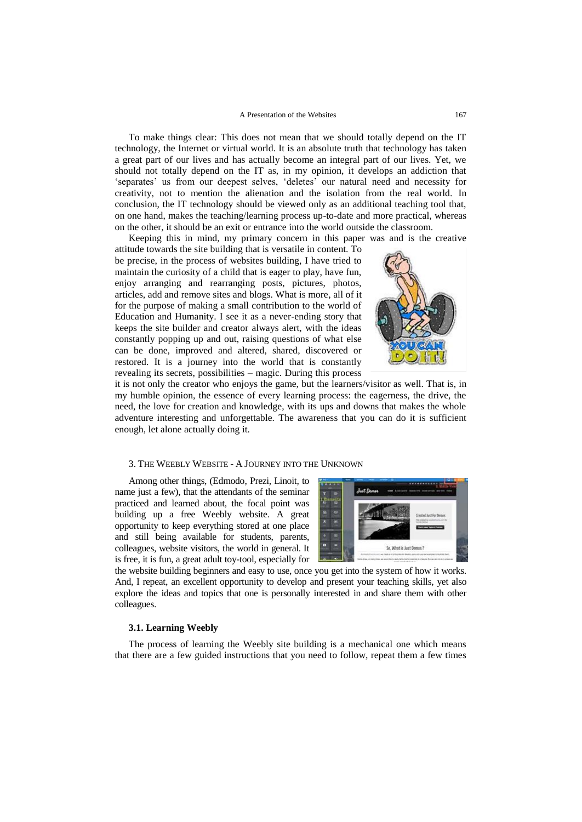#### A Presentation of the Websites 167

To make things clear: This does not mean that we should totally depend on the IT technology, the Internet or virtual world. It is an absolute truth that technology has taken a great part of our lives and has actually become an integral part of our lives. Yet, we should not totally depend on the IT as, in my opinion, it develops an addiction that 'separates' us from our deepest selves, 'deletes' our natural need and necessity for creativity, not to mention the alienation and the isolation from the real world. In conclusion, the IT technology should be viewed only as an additional teaching tool that, on one hand, makes the teaching/learning process up-to-date and more practical, whereas on the other, it should be an exit or entrance into the world outside the classroom.

Keeping this in mind, my primary concern in this paper was and is the creative

attitude towards the site building that is versatile in content. To be precise, in the process of websites building, I have tried to maintain the curiosity of a child that is eager to play, have fun, enjoy arranging and rearranging posts, pictures, photos, articles, add and remove sites and blogs. What is more, all of it for the purpose of making a small contribution to the world of Education and Humanity. I see it as a never-ending story that keeps the site builder and creator always alert, with the ideas constantly popping up and out, raising questions of what else can be done, improved and altered, shared, discovered or restored. It is a journey into the world that is constantly revealing its secrets, possibilities – magic. During this process



it is not only the creator who enjoys the game, but the learners/visitor as well. That is, in my humble opinion, the essence of every learning process: the eagerness, the drive, the need, the love for creation and knowledge, with its ups and downs that makes the whole adventure interesting and unforgettable. The awareness that you can do it is sufficient enough, let alone actually doing it.

# 3. THE WEEBLY WEBSITE - A JOURNEY INTO THE UNKNOWN

Among other things, (Edmodo, Prezi, Linoit, to name just a few), that the attendants of the seminar practiced and learned about, the focal point was building up a free Weebly website. A great opportunity to keep everything stored at one place and still being available for students, parents, colleagues, website visitors, the world in general. It is free, it is fun, a great adult toy-tool, especially for



the website building beginners and easy to use, once you get into the system of how it works. And, I repeat, an excellent opportunity to develop and present your teaching skills, yet also explore the ideas and topics that one is personally interested in and share them with other colleagues.

# **3.1. Learning Weebly**

The process of learning the Weebly site building is a mechanical one which means that there are a few guided instructions that you need to follow, repeat them a few times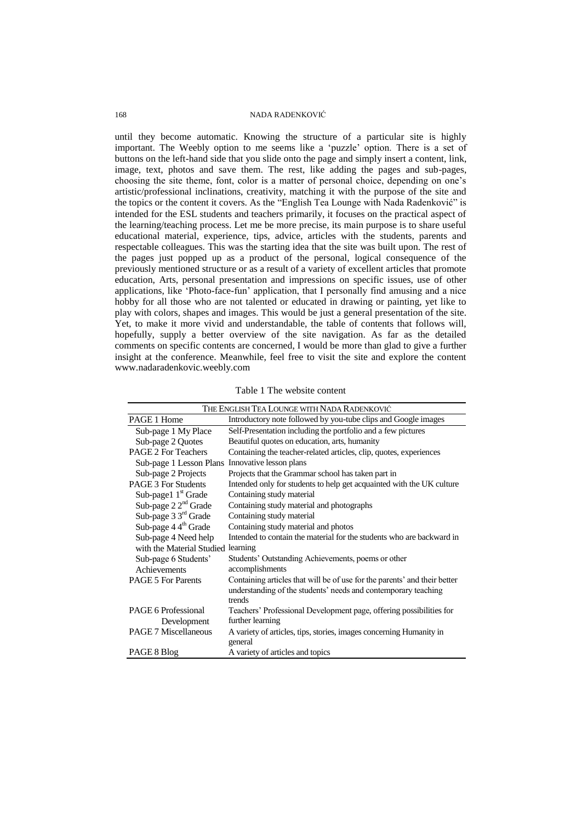until they become automatic. Knowing the structure of a particular site is highly important. The Weebly option to me seems like a 'puzzle' option. There is a set of buttons on the left-hand side that you slide onto the page and simply insert a content, link, image, text, photos and save them. The rest, like adding the pages and sub-pages, choosing the site theme, font, color is a matter of personal choice, depending on one's artistic/professional inclinations, creativity, matching it with the purpose of the site and the topics or the content it covers. As the "English Tea Lounge with Nada Radenković" is intended for the ESL students and teachers primarily, it focuses on the practical aspect of the learning/teaching process. Let me be more precise, its main purpose is to share useful educational material, experience, tips, advice, articles with the students, parents and respectable colleagues. This was the starting idea that the site was built upon. The rest of the pages just popped up as a product of the personal, logical consequence of the previously mentioned structure or as a result of a variety of excellent articles that promote education, Arts, personal presentation and impressions on specific issues, use of other applications, like ‗Photo-face-fun' application, that I personally find amusing and a nice hobby for all those who are not talented or educated in drawing or painting, yet like to play with colors, shapes and images. This would be just a general presentation of the site. Yet, to make it more vivid and understandable, the table of contents that follows will, hopefully, supply a better overview of the site navigation. As far as the detailed comments on specific contents are concerned, I would be more than glad to give a further insight at the conference. Meanwhile, feel free to visit the site and explore the content www.nadaradenkovic.weebly.com

| THE ENGLISH TEA LOUNGE WITH NADA RADENKOVIĆ |                                                                                |  |
|---------------------------------------------|--------------------------------------------------------------------------------|--|
| PAGE 1 Home                                 | Introductory note followed by you-tube clips and Google images                 |  |
| Sub-page 1 My Place                         | Self-Presentation including the portfolio and a few pictures                   |  |
| Sub-page 2 Quotes                           | Beautiful quotes on education, arts, humanity                                  |  |
| <b>PAGE 2 For Teachers</b>                  | Containing the teacher-related articles, clip, quotes, experiences             |  |
| Sub-page 1 Lesson Plans                     | Innovative lesson plans                                                        |  |
| Sub-page 2 Projects                         | Projects that the Grammar school has taken part in                             |  |
| <b>PAGE 3 For Students</b>                  | Intended only for students to help get acquainted with the UK culture          |  |
| Sub-page1 $1st$ Grade                       | Containing study material                                                      |  |
| Sub-page $22nd$ Grade                       | Containing study material and photographs                                      |  |
| Sub-page $3\,3^{\text{rd}}$ Grade           | Containing study material                                                      |  |
| Sub-page $4.4^{\text{th}}$ Grade            | Containing study material and photos                                           |  |
| Sub-page 4 Need help                        | Intended to contain the material for the students who are backward in          |  |
| with the Material Studied                   | learning                                                                       |  |
| Sub-page 6 Students'                        | Students' Outstanding Achievements, poems or other                             |  |
| Achievements                                | accomplishments                                                                |  |
| <b>PAGE 5 For Parents</b>                   | Containing articles that will be of use for the parents' and their better      |  |
|                                             | understanding of the students' needs and contemporary teaching                 |  |
|                                             | trends                                                                         |  |
| PAGE 6 Professional                         | Teachers' Professional Development page, offering possibilities for            |  |
| Development                                 | further learning                                                               |  |
| <b>PAGE 7 Miscellaneous</b>                 | A variety of articles, tips, stories, images concerning Humanity in<br>general |  |
| PAGE 8 Blog                                 | A variety of articles and topics                                               |  |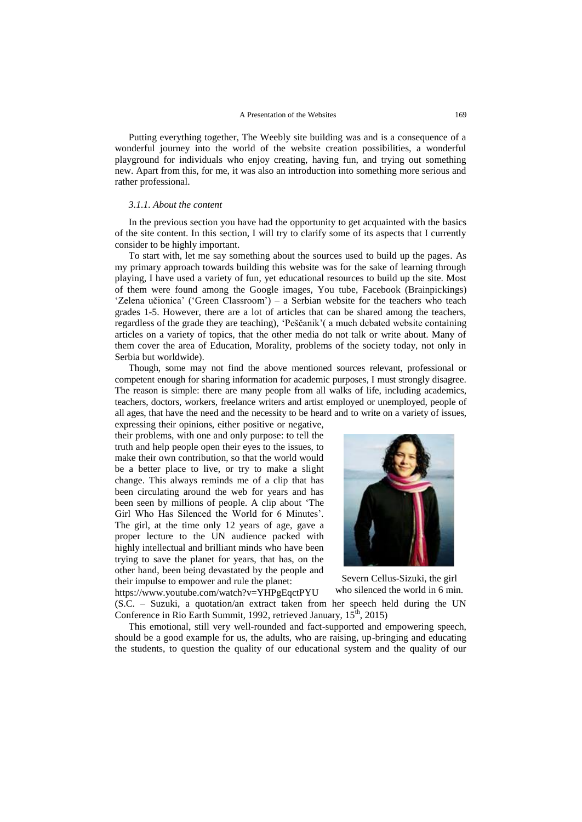Putting everything together, The Weebly site building was and is a consequence of a wonderful journey into the world of the website creation possibilities, a wonderful playground for individuals who enjoy creating, having fun, and trying out something new. Apart from this, for me, it was also an introduction into something more serious and rather professional.

#### *3.1.1. About the content*

In the previous section you have had the opportunity to get acquainted with the basics of the site content. In this section, I will try to clarify some of its aspects that I currently consider to be highly important.

To start with, let me say something about the sources used to build up the pages. As my primary approach towards building this website was for the sake of learning through playing, I have used a variety of fun, yet educational resources to build up the site. Most of them were found among the Google images, You tube, Facebook (Brainpickings) ‗Zelena učionica' (‗Green Classroom') – a Serbian website for the teachers who teach grades 1-5. However, there are a lot of articles that can be shared among the teachers, regardless of the grade they are teaching), ‗Peščanik'( a much debated website containing articles on a variety of topics, that the other media do not talk or write about. Many of them cover the area of Education, Morality, problems of the society today, not only in Serbia but worldwide).

Though, some may not find the above mentioned sources relevant, professional or competent enough for sharing information for academic purposes, I must strongly disagree. The reason is simple: there are many people from all walks of life, including academics, teachers, doctors, workers, freelance writers and artist employed or unemployed, people of all ages, that have the need and the necessity to be heard and to write on a variety of issues,

expressing their opinions, either positive or negative, their problems, with one and only purpose: to tell the truth and help people open their eyes to the issues, to make their own contribution, so that the world would be a better place to live, or try to make a slight change. This always reminds me of a clip that has been circulating around the web for years and has been seen by millions of people. A clip about 'The Girl Who Has Silenced the World for 6 Minutes'. The girl, at the time only 12 years of age, gave a proper lecture to the UN audience packed with highly intellectual and brilliant minds who have been trying to save the planet for years, that has, on the other hand, been being devastated by the people and their impulse to empower and rule the planet:



Severn Cellus-Sizuki, the girl who silenced the world in 6 min.

<https://www.youtube.com/watch?v=YHPgEqctPYU> (S.C. – Suzuki, a quotation/an extract taken from her speech held during the UN Conference in Rio Earth Summit, 1992, retrieved January,  $15^{\text{th}}$ , 2015)

This emotional, still very well-rounded and fact-supported and empowering speech, should be a good example for us, the adults, who are raising, up-bringing and educating the students, to question the quality of our educational system and the quality of our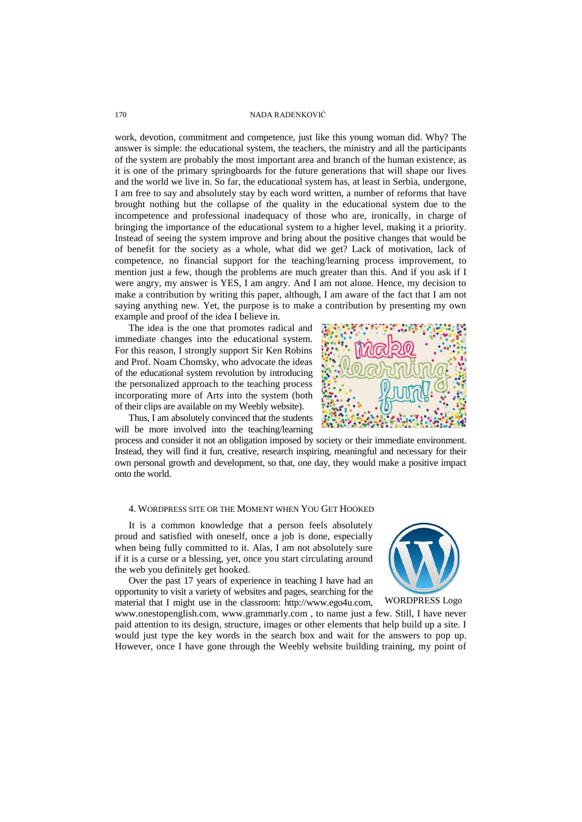work, devotion, commitment and competence, just like this young woman did. Why? The answer is simple: the educational system, the teachers, the ministry and all the participants of the system are probably the most important area and branch of the human existence, as it is one of the primary springboards for the future generations that will shape our lives and the world we live in. So far, the educational system has, at least in Serbia, undergone, I am free to say and absolutely stay by each word written, a number of reforms that have brought nothing but the collapse of the quality in the educational system due to the incompetence and professional inadequacy of those who are, ironically, in charge of bringing the importance of the educational system to a higher level, making it a priority. Instead of seeing the system improve and bring about the positive changes that would be of benefit for the society as a whole, what did we get? Lack of motivation, lack of competence, no financial support for the teaching/learning process improvement, to mention just a few, though the problems are much greater than this. And if you ask if I were angry, my answer is YES, I am angry. And I am not alone. Hence, my decision to make a contribution by writing this paper, although, I am aware of the fact that I am not saying anything new. Yet, the purpose is to make a contribution by presenting my own example and proof of the idea I believe in.

The idea is the one that promotes radical and immediate changes into the educational system. For this reason, I strongly support Sir Ken Robins and Prof. Noam Chomsky, who advocate the ideas of the educational system revolution by introducing the personalized approach to the teaching process incorporating more of Arts into the system (both of their clips are available on my Weebly website).

Thus, I am absolutely convinced that the students will be more involved into the teaching/learning

process and consider it not an obligation imposed by society or their immediate environment. Instead, they will find it fun, creative, research inspiring, meaningful and necessary for their own personal growth and development, so that, one day, they would make a positive impact onto the world.

#### 4. WORDPRESS SITE OR THE MOMENT WHEN YOU GET HOOKED

It is a common knowledge that a person feels absolutely proud and satisfied with oneself, once a job is done, especially when being fully committed to it. Alas, I am not absolutely sure if it is a curse or a blessing, yet, once you start circulating around the web you definitely get hooked.

Over the past 17 years of experience in teaching I have had an opportunity to visit a variety of websites and pages, searching for the material that I might use in the classroom: [http://www.ego4u.com,](http://www.ego4u.com/)

[www.onestopenglish.com,](../AppData/Local/AppData/Local/AppData/Local/Temp/www.onestopenglish.com) [www.grammarly.com](../AppData/Local/AppData/Local/AppData/Local/Temp/www.grammarly.com) , to name just a few. Still, I have never paid attention to its design, structure, images or other elements that help build up a site. I would just type the key words in the search box and wait for the answers to pop up. However, once I have gone through the Weebly website building training, my point of WORDPRESS Logo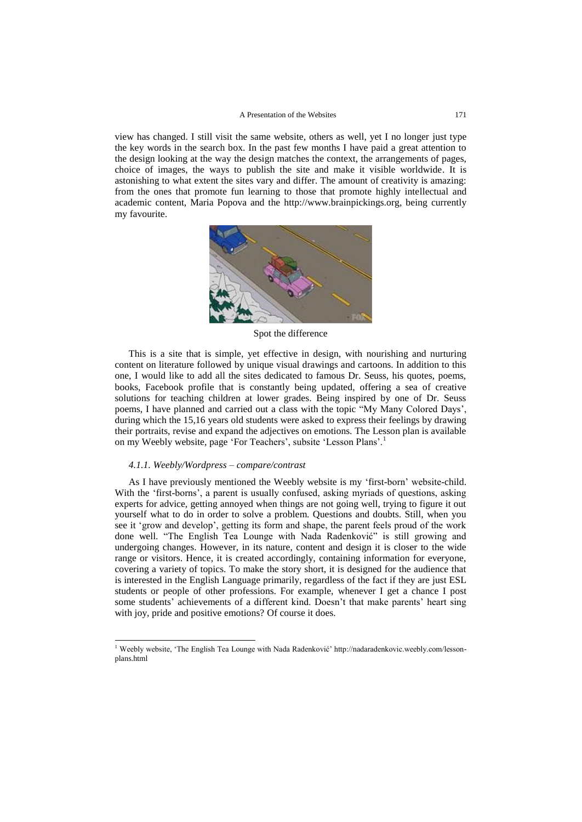view has changed. I still visit the same website, others as well, yet I no longer just type the key words in the search box. In the past few months I have paid a great attention to the design looking at the way the design matches the context, the arrangements of pages, choice of images, the ways to publish the site and make it visible worldwide. It is astonishing to what extent the sites vary and differ. The amount of creativity is amazing: from the ones that promote fun learning to those that promote highly intellectual and academic content, Maria Popova and the [http://www.brainpickings.org,](http://www.brainpickings.org/) being currently my favourite.



Spot the difference

This is a site that is simple, yet effective in design, with nourishing and nurturing content on literature followed by unique visual drawings and cartoons. In addition to this one, I would like to add all the sites dedicated to famous Dr. Seuss, his quotes, poems, books, Facebook profile that is constantly being updated, offering a sea of creative solutions for teaching children at lower grades. Being inspired by one of Dr. Seuss poems, I have planned and carried out a class with the topic "My Many Colored Days', during which the 15,16 years old students were asked to express their feelings by drawing their portraits, revise and expand the adjectives on emotions. The Lesson plan is available on my Weebly website, page 'For Teachers', subsite 'Lesson Plans'.<sup>1</sup>

### *4.1.1. Weebly/Wordpress – compare/contrast*

l

As I have previously mentioned the Weebly website is my ‗first-born' website-child. With the 'first-borns', a parent is usually confused, asking myriads of questions, asking experts for advice, getting annoyed when things are not going well, trying to figure it out yourself what to do in order to solve a problem. Questions and doubts. Still, when you see it ‗grow and develop', getting its form and shape, the parent feels proud of the work done well. "The English Tea Lounge with Nada Radenković" is still growing and undergoing changes. However, in its nature, content and design it is closer to the wide range or visitors. Hence, it is created accordingly, containing information for everyone, covering a variety of topics. To make the story short, it is designed for the audience that is interested in the English Language primarily, regardless of the fact if they are just ESL students or people of other professions. For example, whenever I get a chance I post some students' achievements of a different kind. Doesn't that make parents' heart sing with joy, pride and positive emotions? Of course it does.

<sup>&</sup>lt;sup>1</sup> Weebly website, 'The English Tea Lounge with Nada Radenković' http://nadaradenkovic.weebly.com/lessonplans.html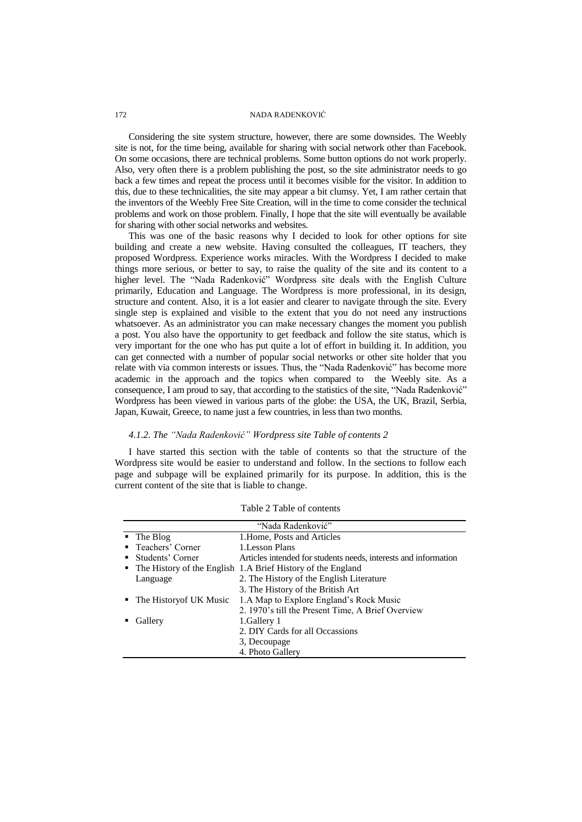Considering the site system structure, however, there are some downsides. The Weebly site is not, for the time being, available for sharing with social network other than Facebook. On some occasions, there are technical problems. Some button options do not work properly. Also, very often there is a problem publishing the post, so the site administrator needs to go back a few times and repeat the process until it becomes visible for the visitor. In addition to this, due to these technicalities, the site may appear a bit clumsy. Yet, I am rather certain that the inventors of the Weebly Free Site Creation, will in the time to come consider the technical problems and work on those problem. Finally, I hope that the site will eventually be available for sharing with other social networks and websites.

This was one of the basic reasons why I decided to look for other options for site building and create a new website. Having consulted the colleagues, IT teachers, they proposed Wordpress. Experience works miracles. With the Wordpress I decided to make things more serious, or better to say, to raise the quality of the site and its content to a higher level. The "Nada Radenković" Wordpress site deals with the English Culture primarily, Education and Language. The Wordpress is more professional, in its design, structure and content. Also, it is a lot easier and clearer to navigate through the site. Every single step is explained and visible to the extent that you do not need any instructions whatsoever. As an administrator you can make necessary changes the moment you publish a post. You also have the opportunity to get feedback and follow the site status, which is very important for the one who has put quite a lot of effort in building it. In addition, you can get connected with a number of popular social networks or other site holder that you relate with via common interests or issues. Thus, the "Nada Radenković" has become more academic in the approach and the topics when compared to the Weebly site. As a consequence, I am proud to say, that according to the statistics of the site, "Nada Radenković" Wordpress has been viewed in various parts of the globe: the USA, the UK, Brazil, Serbia, Japan, Kuwait, Greece, to name just a few countries, in less than two months.

# *4.1.2. The "Nada Radenković" Wordpress site Table of contents 2*

I have started this section with the table of contents so that the structure of the Wordpress site would be easier to understand and follow. In the sections to follow each page and subpage will be explained primarily for its purpose. In addition, this is the current content of the site that is liable to change.

| "Nada Radenković" |                           |                                                                 |
|-------------------|---------------------------|-----------------------------------------------------------------|
|                   | $\blacksquare$ The Blog   | 1. Home, Posts and Articles                                     |
|                   | • Teachers' Corner        | 1. Lesson Plans                                                 |
|                   | • Students' Corner        | Articles intended for students needs, interests and information |
|                   |                           | • The History of the English 1.A Brief History of the England   |
|                   | Language                  | 2. The History of the English Literature                        |
|                   |                           | 3. The History of the British Art                               |
|                   | • The History of UK Music | 1.A Map to Explore England's Rock Music                         |
|                   |                           | 2. 1970's till the Present Time, A Brief Overview               |
|                   | Gallery                   | 1. Gallery 1                                                    |
|                   |                           | 2. DIY Cards for all Occassions                                 |
|                   |                           | 3, Decoupage                                                    |
|                   |                           | 4. Photo Gallery                                                |

Table 2 Table of contents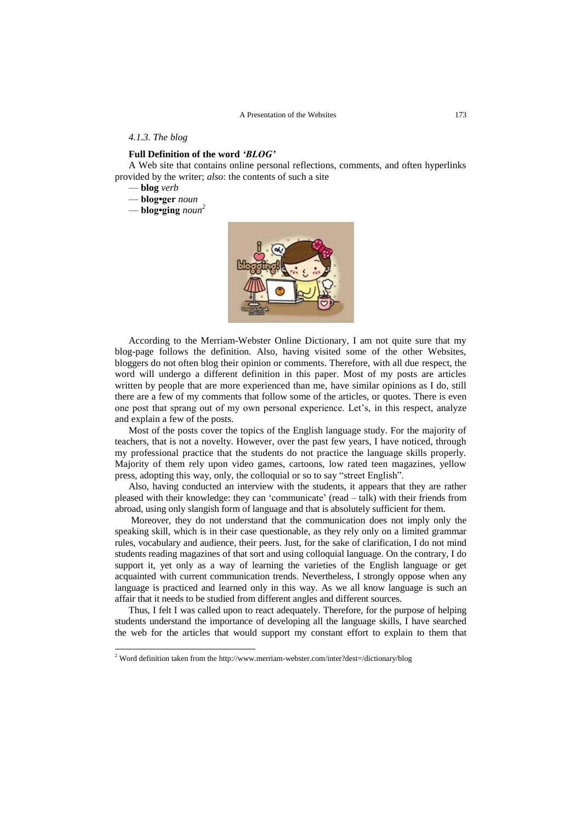#### *4.1.3. The blog*

# **Full Definition of the word** *"BLOG"*

A Web site that contains online personal reflections, comments, and often hyperlinks provided by the writer; *also*: the contents of such a site

— **blog** *verb*

l

— **blog•ger** *noun*

— **blog•ging** *noun 2*



According to the Merriam-Webster Online Dictionary, I am not quite sure that my blog-page follows the definition. Also, having visited some of the other Websites, bloggers do not often blog their opinion or comments. Therefore, with all due respect, the word will undergo a different definition in this paper. Most of my posts are articles written by people that are more experienced than me, have similar opinions as I do, still there are a few of my comments that follow some of the articles, or quotes. There is even one post that sprang out of my own personal experience. Let's, in this respect, analyze and explain a few of the posts.

Most of the posts cover the topics of the English language study. For the majority of teachers, that is not a novelty. However, over the past few years, I have noticed, through my professional practice that the students do not practice the language skills properly. Majority of them rely upon video games, cartoons, low rated teen magazines, yellow press, adopting this way, only, the colloquial or so to say "street English".

Also, having conducted an interview with the students, it appears that they are rather pleased with their knowledge: they can ‗communicate' (read – talk) with their friends from abroad, using only slangish form of language and that is absolutely sufficient for them.

Moreover, they do not understand that the communication does not imply only the speaking skill, which is in their case questionable, as they rely only on a limited grammar rules, vocabulary and audience, their peers. Just, for the sake of clarification, I do not mind students reading magazines of that sort and using colloquial language. On the contrary, I do support it, yet only as a way of learning the varieties of the English language or get acquainted with current communication trends. Nevertheless, I strongly oppose when any language is practiced and learned only in this way. As we all know language is such an affair that it needs to be studied from different angles and different sources.

Thus, I felt I was called upon to react adequately. Therefore, for the purpose of helping students understand the importance of developing all the language skills, I have searched the web for the articles that would support my constant effort to explain to them that

<sup>&</sup>lt;sup>2</sup> Word definition taken from th[e http://www.merriam-webster.com/inter?dest=/dictionary/blog](http://www.merriam-webster.com/inter?dest=/dictionary/blog)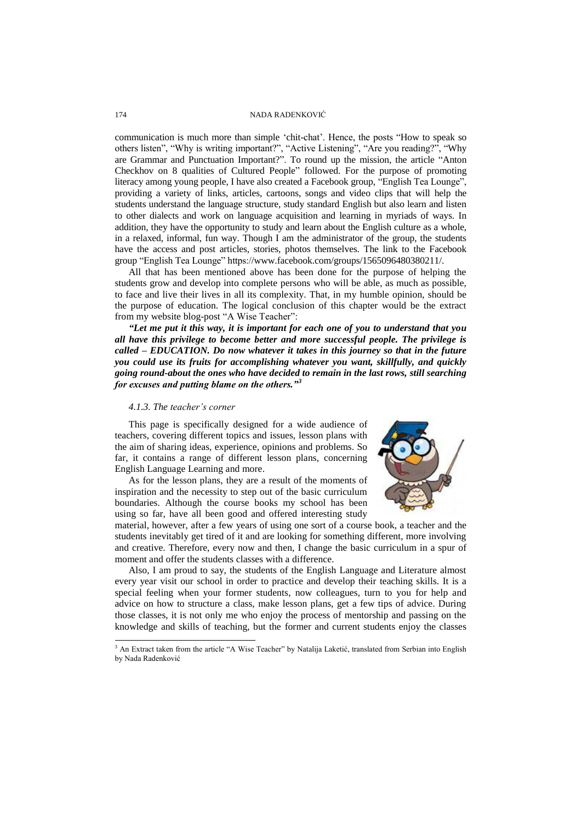communication is much more than simple 'chit-chat'. Hence, the posts "How to speak so others listen", "Why is writing important?", "Active Listening", "Are you reading?", "Why are Grammar and Punctuation Important?". To round up the mission, the article "Anton Checkhov on 8 qualities of Cultured People" followed. For the purpose of promoting literacy among young people, I have also created a Facebook group, "English Tea Lounge", providing a variety of links, articles, cartoons, songs and video clips that will help the students understand the language structure, study standard English but also learn and listen to other dialects and work on language acquisition and learning in myriads of ways. In addition, they have the opportunity to study and learn about the English culture as a whole, in a relaxed, informal, fun way. Though I am the administrator of the group, the students have the access and post articles, stories, photos themselves. The link to the Facebook group "English Tea Lounge" https://www.facebook.com/groups/1565096480380211/.

All that has been mentioned above has been done for the purpose of helping the students grow and develop into complete persons who will be able, as much as possible, to face and live their lives in all its complexity. That, in my humble opinion, should be the purpose of education. The logical conclusion of this chapter would be the extract from my website blog-post "A Wise Teacher":

*"Let me put it this way, it is important for each one of you to understand that you all have this privilege to become better and more successful people. The privilege is called – EDUCATION. Do now whatever it takes in this journey so that in the future you could use its fruits for accomplishing whatever you want, skillfully, and quickly going round-about the ones who have decided to remain in the last rows, still searching for excuses and putting blame on the others."<sup>3</sup>*

#### *4.1.3. The teacher's corner*

This page is specifically designed for a wide audience of teachers, covering different topics and issues, lesson plans with the aim of sharing ideas, experience, opinions and problems. So far, it contains a range of different lesson plans, concerning English Language Learning and more.

As for the lesson plans, they are a result of the moments of inspiration and the necessity to step out of the basic curriculum boundaries. Although the course books my school has been using so far, have all been good and offered interesting study



material, however, after a few years of using one sort of a course book, a teacher and the students inevitably get tired of it and are looking for something different, more involving and creative. Therefore, every now and then, I change the basic curriculum in a spur of moment and offer the students classes with a difference.

Also, I am proud to say, the students of the English Language and Literature almost every year visit our school in order to practice and develop their teaching skills. It is a special feeling when your former students, now colleagues, turn to you for help and advice on how to structure a class, make lesson plans, get a few tips of advice. During those classes, it is not only me who enjoy the process of mentorship and passing on the knowledge and skills of teaching, but the former and current students enjoy the classes

l

<sup>&</sup>lt;sup>3</sup> An Extract taken from the article "A Wise Teacher" by Natalija Laketić, translated from Serbian into English by Nada Radenković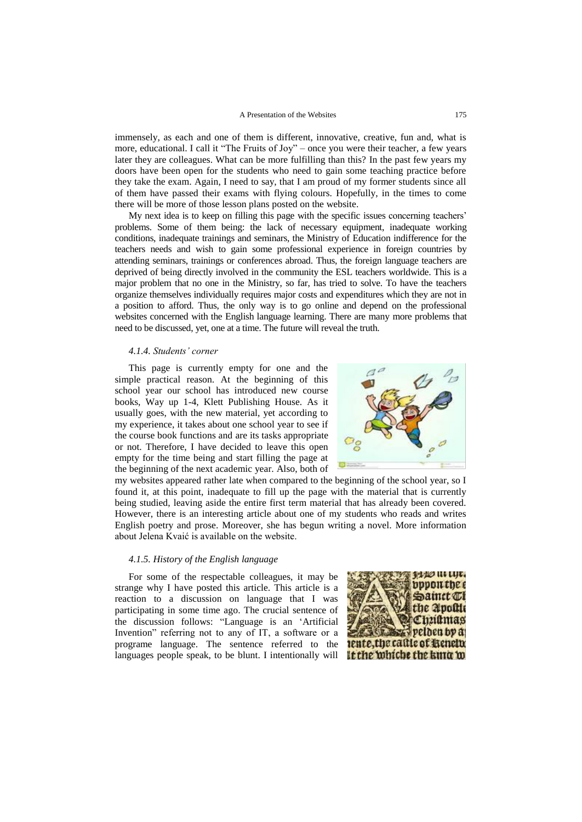#### A Presentation of the Websites 175

immensely, as each and one of them is different, innovative, creative, fun and, what is more, educational. I call it "The Fruits of Joy" – once you were their teacher, a few years later they are colleagues. What can be more fulfilling than this? In the past few years my doors have been open for the students who need to gain some teaching practice before they take the exam. Again, I need to say, that I am proud of my former students since all of them have passed their exams with flying colours. Hopefully, in the times to come there will be more of those lesson plans posted on the website.

My next idea is to keep on filling this page with the specific issues concerning teachers' problems. Some of them being: the lack of necessary equipment, inadequate working conditions, inadequate trainings and seminars, the Ministry of Education indifference for the teachers needs and wish to gain some professional experience in foreign countries by attending seminars, trainings or conferences abroad. Thus, the foreign language teachers are deprived of being directly involved in the community the ESL teachers worldwide. This is a major problem that no one in the Ministry, so far, has tried to solve. To have the teachers organize themselves individually requires major costs and expenditures which they are not in a position to afford. Thus, the only way is to go online and depend on the professional websites concerned with the English language learning. There are many more problems that need to be discussed, yet, one at a time. The future will reveal the truth.

#### *4.1.4. Students' corner*

This page is currently empty for one and the simple practical reason. At the beginning of this school year our school has introduced new course books, Way up 1-4, Klett Publishing House. As it usually goes, with the new material, yet according to my experience, it takes about one school year to see if the course book functions and are its tasks appropriate or not. Therefore, I have decided to leave this open empty for the time being and start filling the page at the beginning of the next academic year. Also, both of



my websites appeared rather late when compared to the beginning of the school year, so I found it, at this point, inadequate to fill up the page with the material that is currently being studied, leaving aside the entire first term material that has already been covered. However, there is an interesting article about one of my students who reads and writes English poetry and prose. Moreover, she has begun writing a novel. More information about Jelena Kvaić is available on the website.

# *4.1.5. History of the English language*

For some of the respectable colleagues, it may be strange why I have posted this article. This article is a reaction to a discussion on language that I was participating in some time ago. The crucial sentence of the discussion follows: "Language is an 'Artificial Invention" referring not to any of IT, a software or a programe language. The sentence referred to the languages people speak, to be blunt. I intentionally will

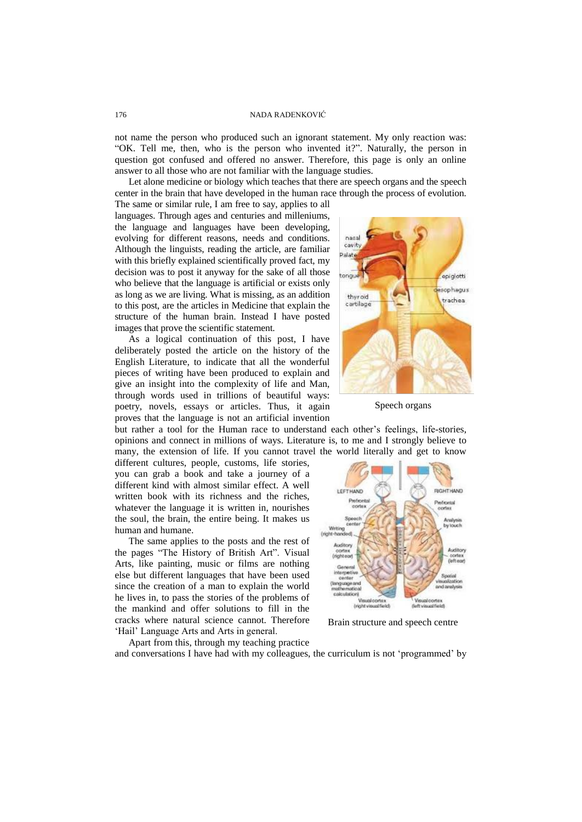not name the person who produced such an ignorant statement. My only reaction was: ―OK. Tell me, then, who is the person who invented it?‖. Naturally, the person in question got confused and offered no answer. Therefore, this page is only an online answer to all those who are not familiar with the language studies.

Let alone medicine or biology which teaches that there are speech organs and the speech center in the brain that have developed in the human race through the process of evolution.

The same or similar rule, I am free to say, applies to all languages. Through ages and centuries and milleniums, the language and languages have been developing, evolving for different reasons, needs and conditions. Although the linguists, reading the article, are familiar with this briefly explained scientifically proved fact, my decision was to post it anyway for the sake of all those who believe that the language is artificial or exists only as long as we are living. What is missing, as an addition to this post, are the articles in Medicine that explain the structure of the human brain. Instead I have posted images that prove the scientific statement.

As a logical continuation of this post, I have deliberately posted the article on the history of the English Literature, to indicate that all the wonderful pieces of writing have been produced to explain and give an insight into the complexity of life and Man, through words used in trillions of beautiful ways: poetry, novels, essays or articles. Thus, it again proves that the language is not an artificial invention

but rather a tool for the Human race to understand each other's feelings, life-stories, opinions and connect in millions of ways. Literature is, to me and I strongly believe to many, the extension of life. If you cannot travel the world literally and get to know

different cultures, people, customs, life stories, you can grab a book and take a journey of a different kind with almost similar effect. A well written book with its richness and the riches, whatever the language it is written in, nourishes the soul, the brain, the entire being. It makes us human and humane.

The same applies to the posts and the rest of the pages "The History of British Art". Visual Arts, like painting, music or films are nothing else but different languages that have been used since the creation of a man to explain the world he lives in, to pass the stories of the problems of the mankind and offer solutions to fill in the cracks where natural science cannot. Therefore ‗Hail' Language Arts and Arts in general.

nasal cauth **Dalat** tono epiglotti ophagus thurpid trachea cartilage

Speech organs



Brain structure and speech centre

Apart from this, through my teaching practice

and conversations I have had with my colleagues, the curriculum is not 'programmed' by